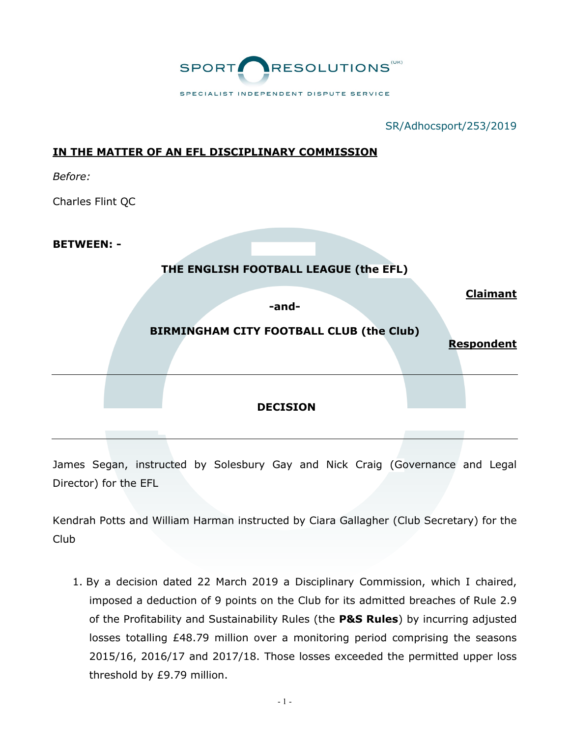

## SR/Adhocsport/253/2019

# **IN THE MATTER OF AN EFL DISCIPLINARY COMMISSION**

*Before:*

Charles Flint QC

**BETWEEN: -**

## **THE ENGLISH FOOTBALL LEAGUE (the EFL)**

**-and-**

## **BIRMINGHAM CITY FOOTBALL CLUB (the Club)**

**Respondent** 

**Claimant** 

### **DECISION**

James Segan, instructed by Solesbury Gay and Nick Craig (Governance and Legal Director) for the EFL

Kendrah Potts and William Harman instructed by Ciara Gallagher (Club Secretary) for the Club

1. By a decision dated 22 March 2019 a Disciplinary Commission, which I chaired, imposed a deduction of 9 points on the Club for its admitted breaches of Rule 2.9 of the Profitability and Sustainability Rules (the **P&S Rules**) by incurring adjusted losses totalling £48.79 million over a monitoring period comprising the seasons 2015/16, 2016/17 and 2017/18. Those losses exceeded the permitted upper loss threshold by £9.79 million.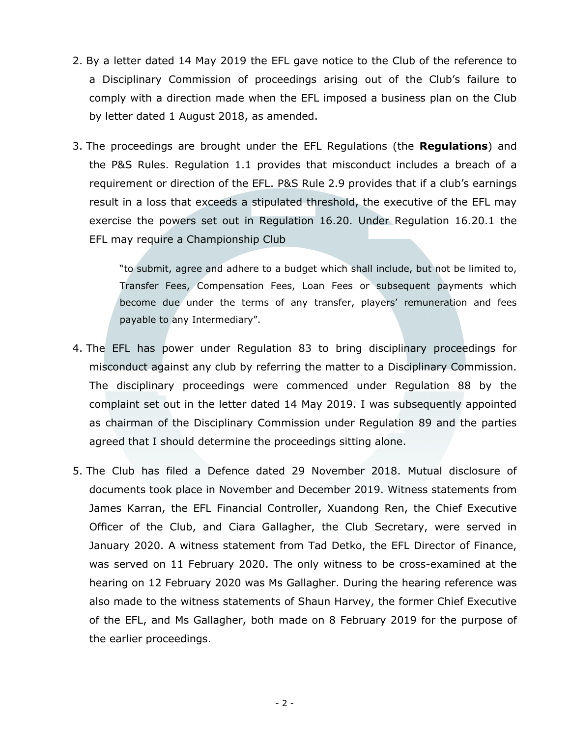- 2. By a letter dated 14 May 2019 the EFL gave notice to the Club of the reference to a Disciplinary Commission of proceedings arising out of the Club's failure to comply with a direction made when the EFL imposed a business plan on the Club by letter dated 1 August 2018, as amended.
- 3. The proceedings are brought under the EFL Regulations (the **Regulations**) and the P&S Rules. Regulation 1.1 provides that misconduct includes a breach of a requirement or direction of the EFL. P&S Rule 2.9 provides that if a club's earnings result in a loss that exceeds a stipulated threshold, the executive of the EFL may exercise the powers set out in Regulation 16.20. Under Regulation 16.20.1 the EFL may require a Championship Club

"to submit, agree and adhere to a budget which shall include, but not be limited to, Transfer Fees, Compensation Fees, Loan Fees or subsequent payments which become due under the terms of any transfer, players' remuneration and fees payable to any Intermediary".

- 4. The EFL has power under Regulation 83 to bring disciplinary proceedings for misconduct against any club by referring the matter to a Disciplinary Commission. The disciplinary proceedings were commenced under Regulation 88 by the complaint set out in the letter dated 14 May 2019. I was subsequently appointed as chairman of the Disciplinary Commission under Regulation 89 and the parties agreed that I should determine the proceedings sitting alone.
- 5. The Club has filed a Defence dated 29 November 2018. Mutual disclosure of documents took place in November and December 2019. Witness statements from James Karran, the EFL Financial Controller, Xuandong Ren, the Chief Executive Officer of the Club, and Ciara Gallagher, the Club Secretary, were served in January 2020. A witness statement from Tad Detko, the EFL Director of Finance, was served on 11 February 2020. The only witness to be cross-examined at the hearing on 12 February 2020 was Ms Gallagher. During the hearing reference was also made to the witness statements of Shaun Harvey, the former Chief Executive of the EFL, and Ms Gallagher, both made on 8 February 2019 for the purpose of the earlier proceedings.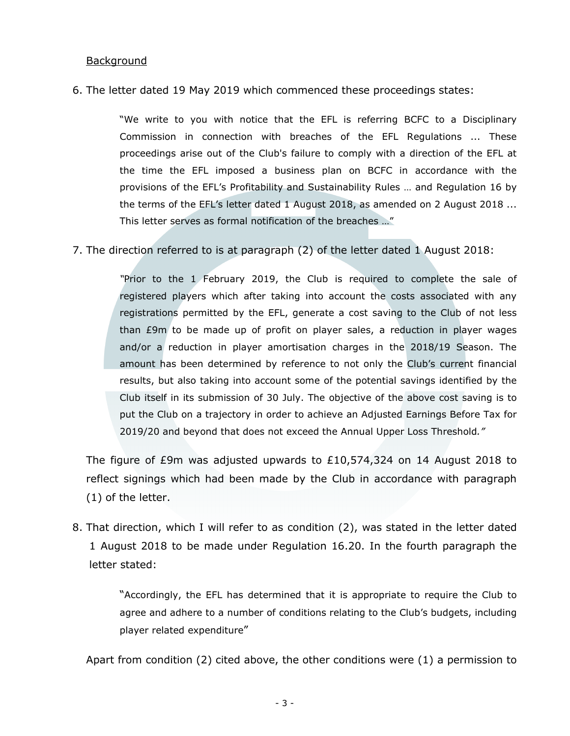### **Background**

6. The letter dated 19 May 2019 which commenced these proceedings states:

"We write to you with notice that the EFL is referring BCFC to a Disciplinary Commission in connection with breaches of the EFL Regulations ... These proceedings arise out of the Club's failure to comply with a direction of the EFL at the time the EFL imposed a business plan on BCFC in accordance with the provisions of the EFL's Profitability and Sustainability Rules … and Regulation 16 by the terms of the EFL's letter dated 1 August 2018, as amended on 2 August 2018 ... This letter serves as formal notification of the breaches …"

7. The direction referred to is at paragraph (2) of the letter dated 1 August 2018:

*"*Prior to the 1 February 2019, the Club is required to complete the sale of registered players which after taking into account the costs associated with any registrations permitted by the EFL, generate a cost saving to the Club of not less than £9m to be made up of profit on player sales, a reduction in player wages and/or a reduction in player amortisation charges in the 2018/19 Season. The amount has been determined by reference to not only the Club's current financial results, but also taking into account some of the potential savings identified by the Club itself in its submission of 30 July. The objective of the above cost saving is to put the Club on a trajectory in order to achieve an Adjusted Earnings Before Tax for 2019/20 and beyond that does not exceed the Annual Upper Loss Threshold*."*

The figure of £9m was adjusted upwards to £10,574,324 on 14 August 2018 to reflect signings which had been made by the Club in accordance with paragraph (1) of the letter.

8. That direction, which I will refer to as condition (2), was stated in the letter dated 1 August 2018 to be made under Regulation 16.20. In the fourth paragraph the letter stated:

> "Accordingly, the EFL has determined that it is appropriate to require the Club to agree and adhere to a number of conditions relating to the Club's budgets, including player related expenditure"

Apart from condition (2) cited above, the other conditions were (1) a permission to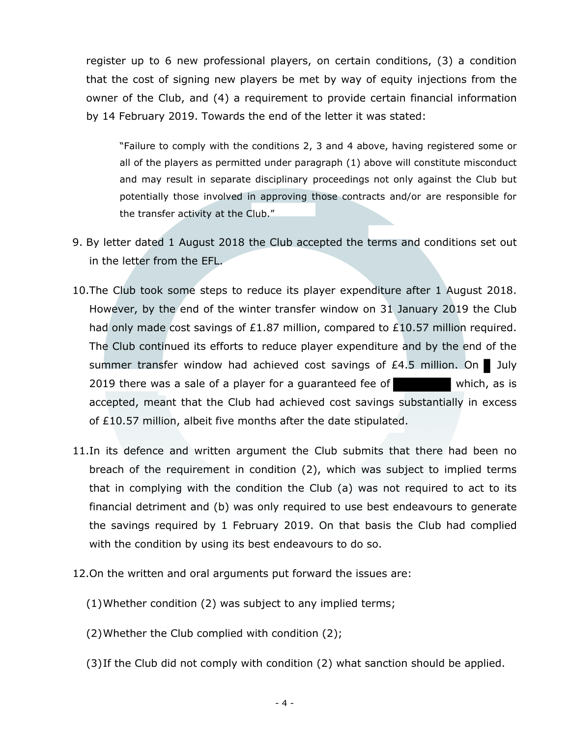register up to 6 new professional players, on certain conditions, (3) a condition that the cost of signing new players be met by way of equity injections from the owner of the Club, and (4) a requirement to provide certain financial information by 14 February 2019. Towards the end of the letter it was stated:

"Failure to comply with the conditions 2, 3 and 4 above, having registered some or all of the players as permitted under paragraph (1) above will constitute misconduct and may result in separate disciplinary proceedings not only against the Club but potentially those involved in approving those contracts and/or are responsible for the transfer activity at the Club."

- 9. By letter dated 1 August 2018 the Club accepted the terms and conditions set out in the letter from the EFL.
- 10.The Club took some steps to reduce its player expenditure after 1 August 2018. However, by the end of the winter transfer window on 31 January 2019 the Club had only made cost savings of £1.87 million, compared to £10.57 million required. The Club continued its efforts to reduce player expenditure and by the end of the summer transfer window had achieved cost savings of  $E4.5$  million. On July 2019 there was a sale of a player for a guaranteed fee of which, as is accepted, meant that the Club had achieved cost savings substantially in excess of £10.57 million, albeit five months after the date stipulated.
- 11.In its defence and written argument the Club submits that there had been no breach of the requirement in condition (2), which was subject to implied terms that in complying with the condition the Club (a) was not required to act to its financial detriment and (b) was only required to use best endeavours to generate the savings required by 1 February 2019. On that basis the Club had complied with the condition by using its best endeavours to do so.
- 12.On the written and oral arguments put forward the issues are:
	- (1)Whether condition (2) was subject to any implied terms;
	- (2)Whether the Club complied with condition (2);
	- (3)If the Club did not comply with condition (2) what sanction should be applied.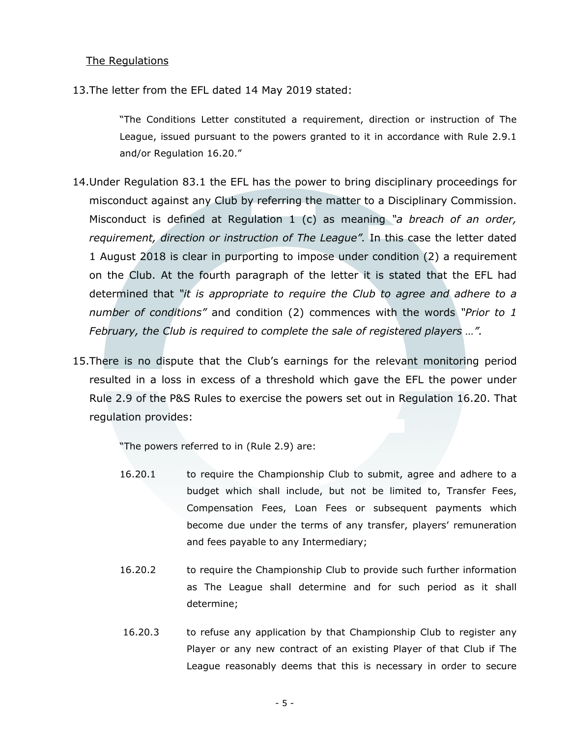#### The Regulations

13.The letter from the EFL dated 14 May 2019 stated:

"The Conditions Letter constituted a requirement, direction or instruction of The League, issued pursuant to the powers granted to it in accordance with Rule 2.9.1 and/or Regulation 16.20."

- 14.Under Regulation 83.1 the EFL has the power to bring disciplinary proceedings for misconduct against any Club by referring the matter to a Disciplinary Commission. Misconduct is defined at Regulation 1 (c) as meaning *"a breach of an order, requirement, direction or instruction of The League".* In this case the letter dated 1 August 2018 is clear in purporting to impose under condition (2) a requirement on the Club. At the fourth paragraph of the letter it is stated that the EFL had determined that *"it is appropriate to require the Club to agree and adhere to a number of conditions"* and condition (2) commences with the words *"Prior to 1 February, the Club is required to complete the sale of registered players …".*
- 15.There is no dispute that the Club's earnings for the relevant monitoring period resulted in a loss in excess of a threshold which gave the EFL the power under Rule 2.9 of the P&S Rules to exercise the powers set out in Regulation 16.20. That regulation provides:

"The powers referred to in (Rule 2.9) are:

- 16.20.1 to require the Championship Club to submit, agree and adhere to a budget which shall include, but not be limited to, Transfer Fees, Compensation Fees, Loan Fees or subsequent payments which become due under the terms of any transfer, players' remuneration and fees payable to any Intermediary;
- 16.20.2 to require the Championship Club to provide such further information as The League shall determine and for such period as it shall determine;
- 16.20.3 to refuse any application by that Championship Club to register any Player or any new contract of an existing Player of that Club if The League reasonably deems that this is necessary in order to secure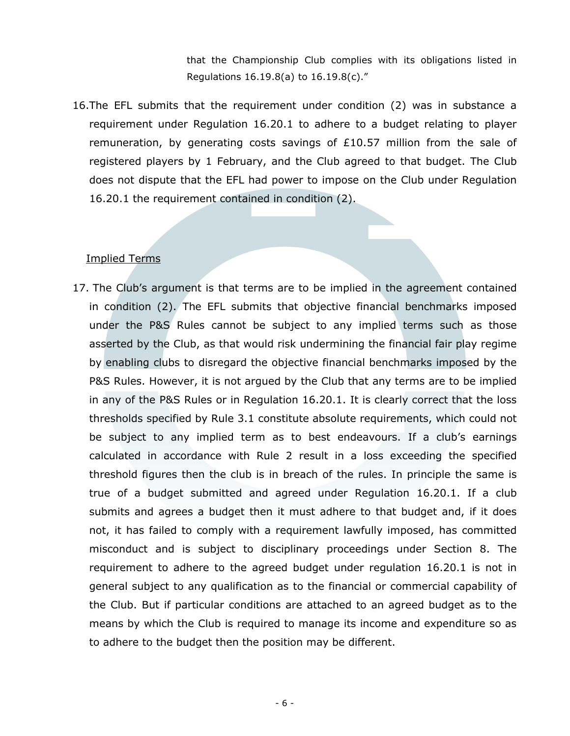that the Championship Club complies with its obligations listed in Regulations 16.19.8(a) to 16.19.8(c)."

16.The EFL submits that the requirement under condition (2) was in substance a requirement under Regulation 16.20.1 to adhere to a budget relating to player remuneration, by generating costs savings of £10.57 million from the sale of registered players by 1 February, and the Club agreed to that budget. The Club does not dispute that the EFL had power to impose on the Club under Regulation 16.20.1 the requirement contained in condition (2).

## Implied Terms

17. The Club's argument is that terms are to be implied in the agreement contained in condition (2). The EFL submits that objective financial benchmarks imposed under the P&S Rules cannot be subject to any implied terms such as those asserted by the Club, as that would risk undermining the financial fair play regime by enabling clubs to disregard the objective financial benchmarks imposed by the P&S Rules. However, it is not argued by the Club that any terms are to be implied in any of the P&S Rules or in Regulation 16.20.1. It is clearly correct that the loss thresholds specified by Rule 3.1 constitute absolute requirements, which could not be subject to any implied term as to best endeavours. If a club's earnings calculated in accordance with Rule 2 result in a loss exceeding the specified threshold figures then the club is in breach of the rules. In principle the same is true of a budget submitted and agreed under Regulation 16.20.1. If a club submits and agrees a budget then it must adhere to that budget and, if it does not, it has failed to comply with a requirement lawfully imposed, has committed misconduct and is subject to disciplinary proceedings under Section 8. The requirement to adhere to the agreed budget under regulation 16.20.1 is not in general subject to any qualification as to the financial or commercial capability of the Club. But if particular conditions are attached to an agreed budget as to the means by which the Club is required to manage its income and expenditure so as to adhere to the budget then the position may be different.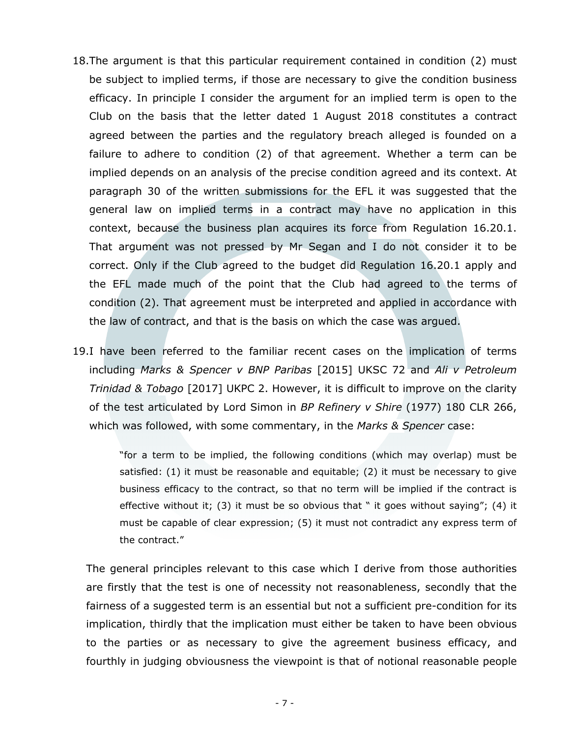- 18.The argument is that this particular requirement contained in condition (2) must be subject to implied terms, if those are necessary to give the condition business efficacy. In principle I consider the argument for an implied term is open to the Club on the basis that the letter dated 1 August 2018 constitutes a contract agreed between the parties and the regulatory breach alleged is founded on a failure to adhere to condition (2) of that agreement. Whether a term can be implied depends on an analysis of the precise condition agreed and its context. At paragraph 30 of the written submissions for the EFL it was suggested that the general law on implied terms in a contract may have no application in this context, because the business plan acquires its force from Regulation 16.20.1. That argument was not pressed by Mr Segan and I do not consider it to be correct. Only if the Club agreed to the budget did Regulation 16.20.1 apply and the EFL made much of the point that the Club had agreed to the terms of condition (2). That agreement must be interpreted and applied in accordance with the law of contract, and that is the basis on which the case was argued.
- 19.I have been referred to the familiar recent cases on the implication of terms including *Marks & Spencer v BNP Paribas* [2015] UKSC 72 and *Ali v Petroleum Trinidad & Tobago* [2017] UKPC 2. However, it is difficult to improve on the clarity of the test articulated by Lord Simon in *BP Refinery v Shire* (1977) 180 CLR 266, which was followed, with some commentary, in the *Marks & Spencer* case:

"for a term to be implied, the following conditions (which may overlap) must be satisfied: (1) it must be reasonable and equitable; (2) it must be necessary to give business efficacy to the contract, so that no term will be implied if the contract is effective without it; (3) it must be so obvious that " it goes without saying"; (4) it must be capable of clear expression; (5) it must not contradict any express term of the contract."

The general principles relevant to this case which I derive from those authorities are firstly that the test is one of necessity not reasonableness, secondly that the fairness of a suggested term is an essential but not a sufficient pre-condition for its implication, thirdly that the implication must either be taken to have been obvious to the parties or as necessary to give the agreement business efficacy, and fourthly in judging obviousness the viewpoint is that of notional reasonable people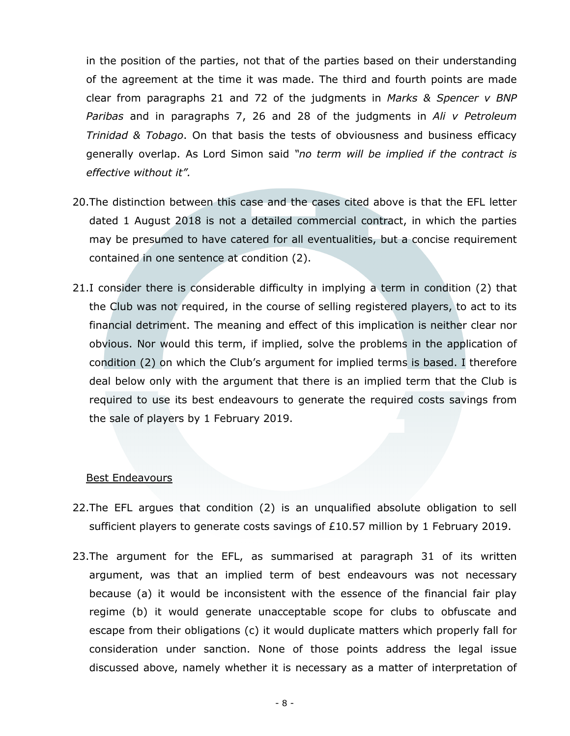in the position of the parties, not that of the parties based on their understanding of the agreement at the time it was made. The third and fourth points are made clear from paragraphs 21 and 72 of the judgments in *Marks & Spencer v BNP Paribas* and in paragraphs 7, 26 and 28 of the judgments in *Ali v Petroleum Trinidad & Tobago*. On that basis the tests of obviousness and business efficacy generally overlap. As Lord Simon said *"no term will be implied if the contract is effective without it".*

- 20.The distinction between this case and the cases cited above is that the EFL letter dated 1 August 2018 is not a detailed commercial contract, in which the parties may be presumed to have catered for all eventualities, but a concise requirement contained in one sentence at condition (2).
- 21.I consider there is considerable difficulty in implying a term in condition (2) that the Club was not required, in the course of selling registered players, to act to its financial detriment. The meaning and effect of this implication is neither clear nor obvious. Nor would this term, if implied, solve the problems in the application of condition (2) on which the Club's argument for implied terms is based. I therefore deal below only with the argument that there is an implied term that the Club is required to use its best endeavours to generate the required costs savings from the sale of players by 1 February 2019.

#### Best Endeavours

- 22.The EFL argues that condition (2) is an unqualified absolute obligation to sell sufficient players to generate costs savings of £10.57 million by 1 February 2019.
- 23.The argument for the EFL, as summarised at paragraph 31 of its written argument, was that an implied term of best endeavours was not necessary because (a) it would be inconsistent with the essence of the financial fair play regime (b) it would generate unacceptable scope for clubs to obfuscate and escape from their obligations (c) it would duplicate matters which properly fall for consideration under sanction. None of those points address the legal issue discussed above, namely whether it is necessary as a matter of interpretation of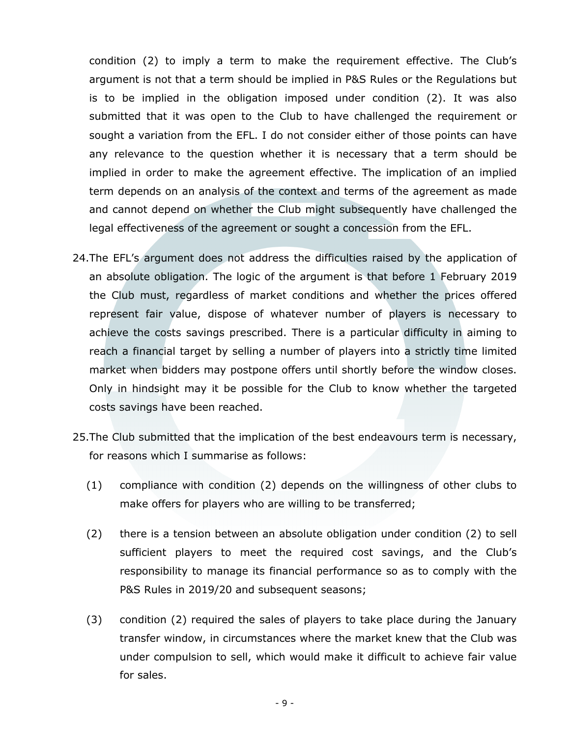condition (2) to imply a term to make the requirement effective. The Club's argument is not that a term should be implied in P&S Rules or the Regulations but is to be implied in the obligation imposed under condition (2). It was also submitted that it was open to the Club to have challenged the requirement or sought a variation from the EFL. I do not consider either of those points can have any relevance to the question whether it is necessary that a term should be implied in order to make the agreement effective. The implication of an implied term depends on an analysis of the context and terms of the agreement as made and cannot depend on whether the Club might subsequently have challenged the legal effectiveness of the agreement or sought a concession from the EFL.

- 24.The EFL's argument does not address the difficulties raised by the application of an absolute obligation. The logic of the argument is that before 1 February 2019 the Club must, regardless of market conditions and whether the prices offered represent fair value, dispose of whatever number of players is necessary to achieve the costs savings prescribed. There is a particular difficulty in aiming to reach a financial target by selling a number of players into a strictly time limited market when bidders may postpone offers until shortly before the window closes. Only in hindsight may it be possible for the Club to know whether the targeted costs savings have been reached.
- 25.The Club submitted that the implication of the best endeavours term is necessary, for reasons which I summarise as follows:
	- (1) compliance with condition (2) depends on the willingness of other clubs to make offers for players who are willing to be transferred;
	- (2) there is a tension between an absolute obligation under condition (2) to sell sufficient players to meet the required cost savings, and the Club's responsibility to manage its financial performance so as to comply with the P&S Rules in 2019/20 and subsequent seasons;
	- (3) condition (2) required the sales of players to take place during the January transfer window, in circumstances where the market knew that the Club was under compulsion to sell, which would make it difficult to achieve fair value for sales.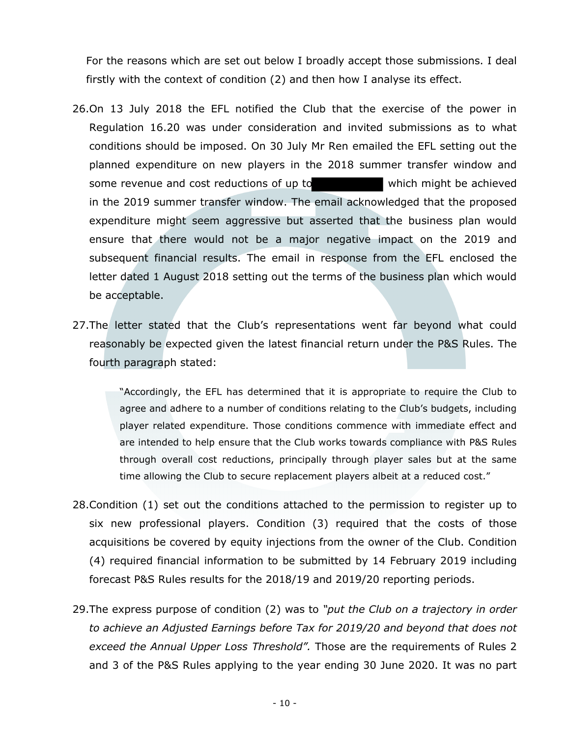For the reasons which are set out below I broadly accept those submissions. I deal firstly with the context of condition (2) and then how I analyse its effect.

- 26.On 13 July 2018 the EFL notified the Club that the exercise of the power in Regulation 16.20 was under consideration and invited submissions as to what conditions should be imposed. On 30 July Mr Ren emailed the EFL setting out the planned expenditure on new players in the 2018 summer transfer window and some revenue and cost reductions of up to which might be achieved in the 2019 summer transfer window. The email acknowledged that the proposed expenditure might seem aggressive but asserted that the business plan would ensure that there would not be a major negative impact on the 2019 and subsequent financial results. The email in response from the EFL enclosed the letter dated 1 August 2018 setting out the terms of the business plan which would be acceptable.
- 27.The letter stated that the Club's representations went far beyond what could reasonably be expected given the latest financial return under the P&S Rules. The fourth paragraph stated:

"Accordingly, the EFL has determined that it is appropriate to require the Club to agree and adhere to a number of conditions relating to the Club's budgets, including player related expenditure. Those conditions commence with immediate effect and are intended to help ensure that the Club works towards compliance with P&S Rules through overall cost reductions, principally through player sales but at the same time allowing the Club to secure replacement players albeit at a reduced cost."

- 28.Condition (1) set out the conditions attached to the permission to register up to six new professional players. Condition (3) required that the costs of those acquisitions be covered by equity injections from the owner of the Club. Condition (4) required financial information to be submitted by 14 February 2019 including forecast P&S Rules results for the 2018/19 and 2019/20 reporting periods.
- 29.The express purpose of condition (2) was to *"put the Club on a trajectory in order to achieve an Adjusted Earnings before Tax for 2019/20 and beyond that does not exceed the Annual Upper Loss Threshold".* Those are the requirements of Rules 2 and 3 of the P&S Rules applying to the year ending 30 June 2020. It was no part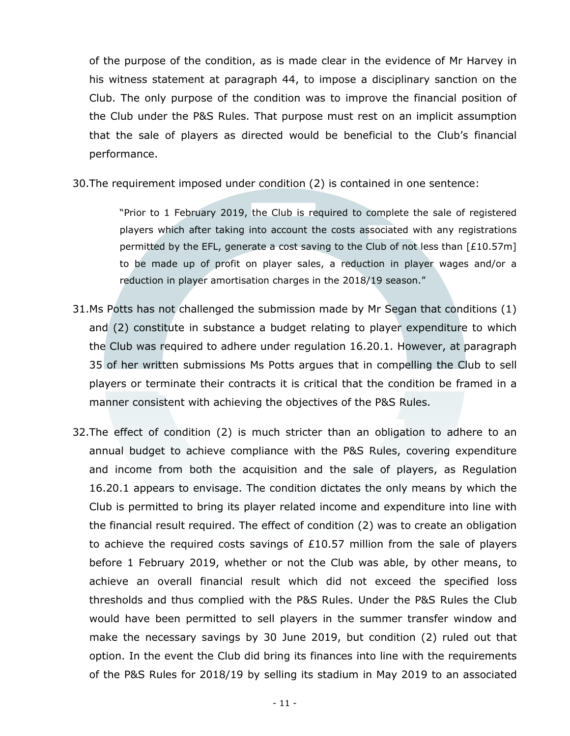of the purpose of the condition, as is made clear in the evidence of Mr Harvey in his witness statement at paragraph 44, to impose a disciplinary sanction on the Club. The only purpose of the condition was to improve the financial position of the Club under the P&S Rules. That purpose must rest on an implicit assumption that the sale of players as directed would be beneficial to the Club's financial performance.

30.The requirement imposed under condition (2) is contained in one sentence:

"Prior to 1 February 2019, the Club is required to complete the sale of registered players which after taking into account the costs associated with any registrations permitted by the EFL, generate a cost saving to the Club of not less than  $[£10.57m]$ to be made up of profit on player sales, a reduction in player wages and/or a reduction in player amortisation charges in the 2018/19 season."

- 31.Ms Potts has not challenged the submission made by Mr Segan that conditions (1) and (2) constitute in substance a budget relating to player expenditure to which the Club was required to adhere under regulation 16.20.1. However, at paragraph 35 of her written submissions Ms Potts argues that in compelling the Club to sell players or terminate their contracts it is critical that the condition be framed in a manner consistent with achieving the objectives of the P&S Rules.
- 32.The effect of condition (2) is much stricter than an obligation to adhere to an annual budget to achieve compliance with the P&S Rules, covering expenditure and income from both the acquisition and the sale of players, as Regulation 16.20.1 appears to envisage. The condition dictates the only means by which the Club is permitted to bring its player related income and expenditure into line with the financial result required. The effect of condition (2) was to create an obligation to achieve the required costs savings of  $£10.57$  million from the sale of players before 1 February 2019, whether or not the Club was able, by other means, to achieve an overall financial result which did not exceed the specified loss thresholds and thus complied with the P&S Rules. Under the P&S Rules the Club would have been permitted to sell players in the summer transfer window and make the necessary savings by 30 June 2019, but condition (2) ruled out that option. In the event the Club did bring its finances into line with the requirements of the P&S Rules for 2018/19 by selling its stadium in May 2019 to an associated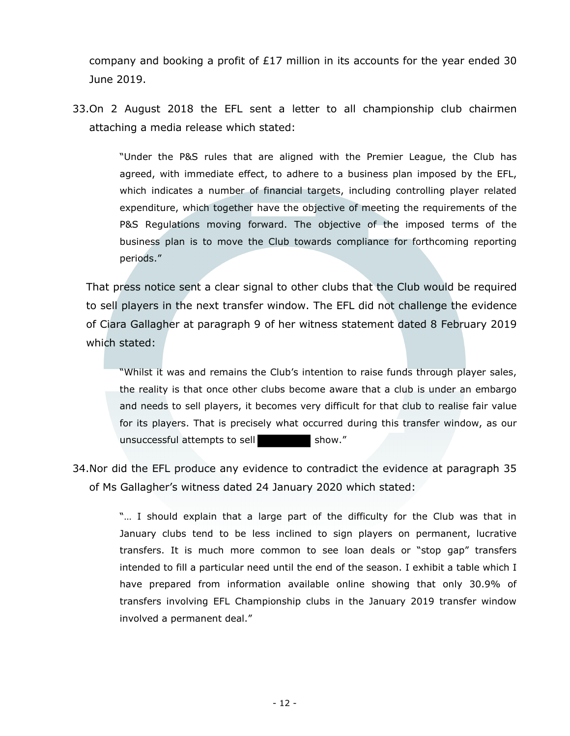company and booking a profit of £17 million in its accounts for the year ended 30 June 2019.

33.On 2 August 2018 the EFL sent a letter to all championship club chairmen attaching a media release which stated:

> "Under the P&S rules that are aligned with the Premier League, the Club has agreed, with immediate effect, to adhere to a business plan imposed by the EFL, which indicates a number of financial targets, including controlling player related expenditure, which together have the objective of meeting the requirements of the P&S Regulations moving forward. The objective of the imposed terms of the business plan is to move the Club towards compliance for forthcoming reporting periods."

That press notice sent a clear signal to other clubs that the Club would be required to sell players in the next transfer window. The EFL did not challenge the evidence of Ciara Gallagher at paragraph 9 of her witness statement dated 8 February 2019 which stated:

"Whilst it was and remains the Club's intention to raise funds through player sales, the reality is that once other clubs become aware that a club is under an embargo and needs to sell players, it becomes very difficult for that club to realise fair value for its players. That is precisely what occurred during this transfer window, as our unsuccessful attempts to sell show."

34.Nor did the EFL produce any evidence to contradict the evidence at paragraph 35 of Ms Gallagher's witness dated 24 January 2020 which stated:

> "... I should explain that a large part of the difficulty for the Club was that in January clubs tend to be less inclined to sign players on permanent, lucrative transfers. It is much more common to see loan deals or "stop gap" transfers intended to fill a particular need until the end of the season. I exhibit a table which I have prepared from information available online showing that only 30.9% of transfers involving EFL Championship clubs in the January 2019 transfer window involved a permanent deal."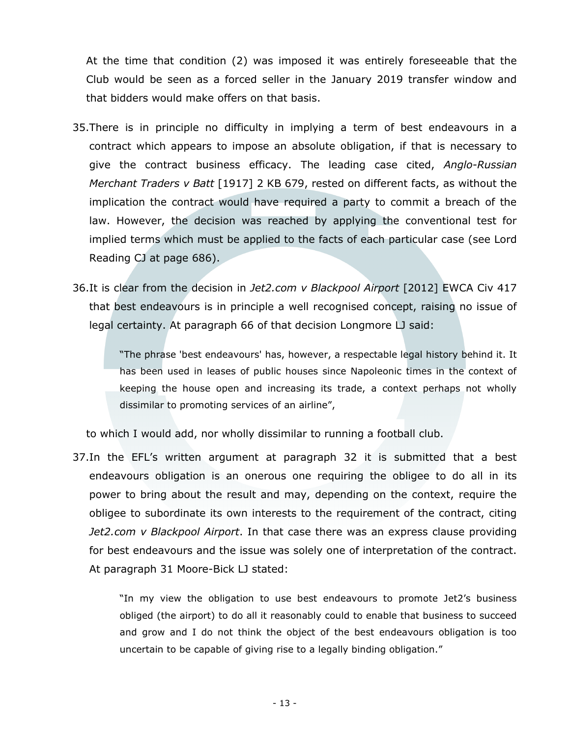At the time that condition (2) was imposed it was entirely foreseeable that the Club would be seen as a forced seller in the January 2019 transfer window and that bidders would make offers on that basis.

- 35.There is in principle no difficulty in implying a term of best endeavours in a contract which appears to impose an absolute obligation, if that is necessary to give the contract business efficacy. The leading case cited, *Anglo-Russian Merchant Traders v Batt* [1917] 2 KB 679, rested on different facts, as without the implication the contract would have required a party to commit a breach of the law. However, the decision was reached by applying the conventional test for implied terms which must be applied to the facts of each particular case (see Lord Reading CJ at page 686).
- 36.It is clear from the decision in *Jet2.com v Blackpool Airport* [2012] EWCA Civ 417 that best endeavours is in principle a well recognised concept, raising no issue of legal certainty. At paragraph 66 of that decision Longmore LJ said:

"The phrase 'best endeavours' has, however, a respectable legal history behind it. It has been used in leases of public houses since Napoleonic times in the context of keeping the house open and increasing its trade, a context perhaps not wholly dissimilar to promoting services of an airline",

to which I would add, nor wholly dissimilar to running a football club.

37.In the EFL's written argument at paragraph 32 it is submitted that a best endeavours obligation is an onerous one requiring the obligee to do all in its power to bring about the result and may, depending on the context, require the obligee to subordinate its own interests to the requirement of the contract, citing *Jet2.com v Blackpool Airport*. In that case there was an express clause providing for best endeavours and the issue was solely one of interpretation of the contract. At paragraph 31 Moore-Bick LJ stated:

> "In my view the obligation to use best endeavours to promote Jet2's business obliged (the airport) to do all it reasonably could to enable that business to succeed and grow and I do not think the object of the best endeavours obligation is too uncertain to be capable of giving rise to a legally binding obligation."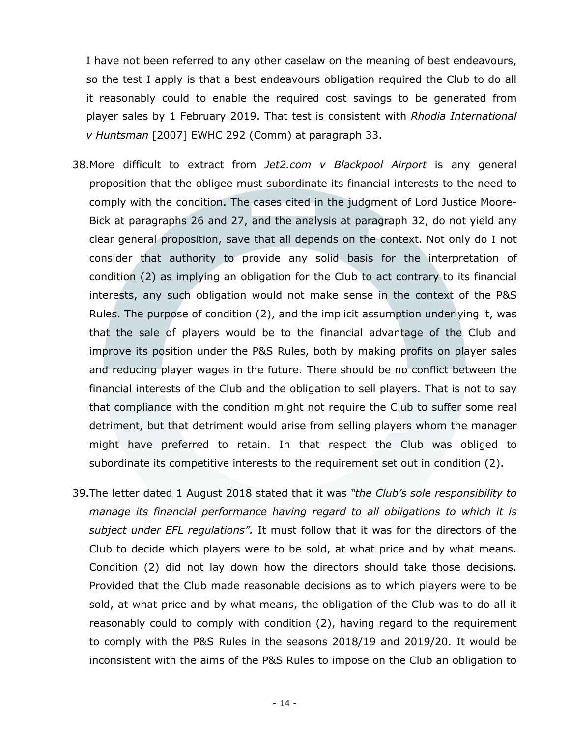I have not been referred to any other caselaw on the meaning of best endeavours, so the test I apply is that a best endeavours obligation required the Club to do all it reasonably could to enable the required cost savings to be generated from player sales by 1 February 2019. That test is consistent with *Rhodia International v Huntsman* [2007] EWHC 292 (Comm) at paragraph 33.

- 38.More difficult to extract from *Jet2.com v Blackpool Airport* is any general proposition that the obligee must subordinate its financial interests to the need to comply with the condition. The cases cited in the judgment of Lord Justice Moore-Bick at paragraphs 26 and 27, and the analysis at paragraph 32, do not yield any clear general proposition, save that all depends on the context. Not only do I not consider that authority to provide any solid basis for the interpretation of condition (2) as implying an obligation for the Club to act contrary to its financial interests, any such obligation would not make sense in the context of the P&S Rules. The purpose of condition (2), and the implicit assumption underlying it, was that the sale of players would be to the financial advantage of the Club and improve its position under the P&S Rules, both by making profits on player sales and reducing player wages in the future. There should be no conflict between the financial interests of the Club and the obligation to sell players. That is not to say that compliance with the condition might not require the Club to suffer some real detriment, but that detriment would arise from selling players whom the manager might have preferred to retain. In that respect the Club was obliged to subordinate its competitive interests to the requirement set out in condition (2).
- 39.The letter dated 1 August 2018 stated that it was *"the Club's sole responsibility to manage its financial performance having regard to all obligations to which it is subject under EFL regulations".* It must follow that it was for the directors of the Club to decide which players were to be sold, at what price and by what means. Condition (2) did not lay down how the directors should take those decisions. Provided that the Club made reasonable decisions as to which players were to be sold, at what price and by what means, the obligation of the Club was to do all it reasonably could to comply with condition (2), having regard to the requirement to comply with the P&S Rules in the seasons 2018/19 and 2019/20. It would be inconsistent with the aims of the P&S Rules to impose on the Club an obligation to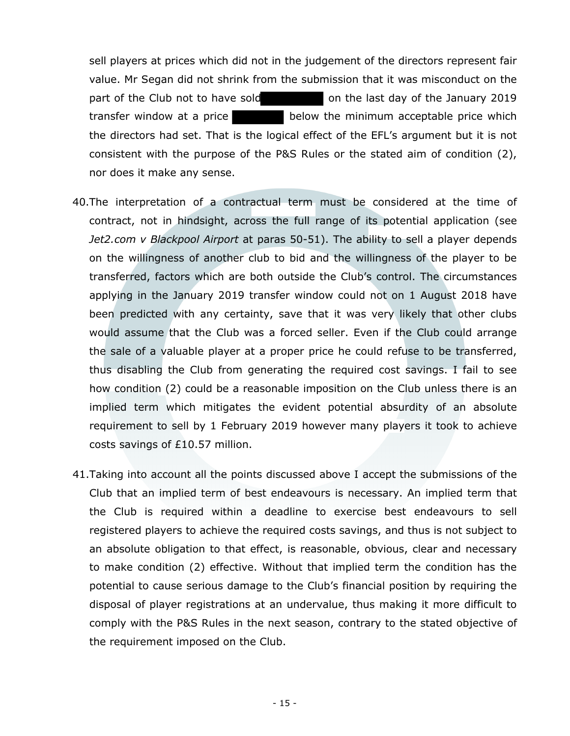sell players at prices which did not in the judgement of the directors represent fair value. Mr Segan did not shrink from the submission that it was misconduct on the part of the Club not to have sold on the last day of the January 2019 transfer window at a price **below** the minimum acceptable price which the directors had set. That is the logical effect of the EFL's argument but it is not consistent with the purpose of the P&S Rules or the stated aim of condition (2), nor does it make any sense.

- 40.The interpretation of a contractual term must be considered at the time of contract, not in hindsight, across the full range of its potential application (see *Jet2.com v Blackpool Airport* at paras 50-51). The ability to sell a player depends on the willingness of another club to bid and the willingness of the player to be transferred, factors which are both outside the Club's control. The circumstances applying in the January 2019 transfer window could not on 1 August 2018 have been predicted with any certainty, save that it was very likely that other clubs would assume that the Club was a forced seller. Even if the Club could arrange the sale of a valuable player at a proper price he could refuse to be transferred, thus disabling the Club from generating the required cost savings. I fail to see how condition (2) could be a reasonable imposition on the Club unless there is an implied term which mitigates the evident potential absurdity of an absolute requirement to sell by 1 February 2019 however many players it took to achieve costs savings of £10.57 million.
- 41.Taking into account all the points discussed above I accept the submissions of the Club that an implied term of best endeavours is necessary. An implied term that the Club is required within a deadline to exercise best endeavours to sell registered players to achieve the required costs savings, and thus is not subject to an absolute obligation to that effect, is reasonable, obvious, clear and necessary to make condition (2) effective. Without that implied term the condition has the potential to cause serious damage to the Club's financial position by requiring the disposal of player registrations at an undervalue, thus making it more difficult to comply with the P&S Rules in the next season, contrary to the stated objective of the requirement imposed on the Club.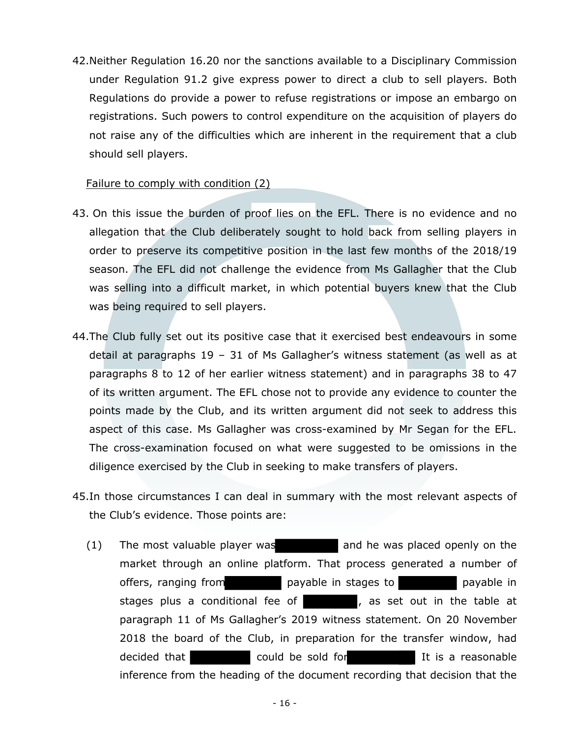42.Neither Regulation 16.20 nor the sanctions available to a Disciplinary Commission under Regulation 91.2 give express power to direct a club to sell players. Both Regulations do provide a power to refuse registrations or impose an embargo on registrations. Such powers to control expenditure on the acquisition of players do not raise any of the difficulties which are inherent in the requirement that a club should sell players.

## Failure to comply with condition (2)

- 43. On this issue the burden of proof lies on the EFL. There is no evidence and no allegation that the Club deliberately sought to hold back from selling players in order to preserve its competitive position in the last few months of the 2018/19 season. The EFL did not challenge the evidence from Ms Gallagher that the Club was selling into a difficult market, in which potential buyers knew that the Club was being required to sell players.
- 44.The Club fully set out its positive case that it exercised best endeavours in some detail at paragraphs 19 – 31 of Ms Gallagher's witness statement (as well as at paragraphs 8 to 12 of her earlier witness statement) and in paragraphs 38 to 47 of its written argument. The EFL chose not to provide any evidence to counter the points made by the Club, and its written argument did not seek to address this aspect of this case. Ms Gallagher was cross-examined by Mr Segan for the EFL. The cross-examination focused on what were suggested to be omissions in the diligence exercised by the Club in seeking to make transfers of players.
- 45.In those circumstances I can deal in summary with the most relevant aspects of the Club's evidence. Those points are:
	- (1) The most valuable player was and he was placed openly on the market through an online platform. That process generated a number of offers, ranging from payable in stages to payable in stages plus a conditional fee of **the set of the set out in the table at** paragraph 11 of Ms Gallagher's 2019 witness statement. On 20 November 2018 the board of the Club, in preparation for the transfer window, had decided that **could be sold for** It is a reasonable inference from the heading of the document recording that decision that the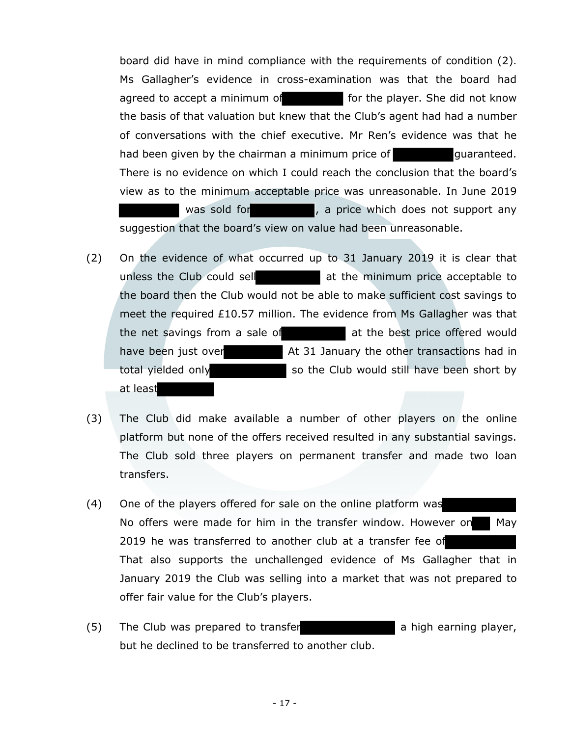board did have in mind compliance with the requirements of condition (2). Ms Gallagher's evidence in cross-examination was that the board had agreed to accept a minimum of for the player. She did not know the basis of that valuation but knew that the Club's agent had had a number of conversations with the chief executive. Mr Ren's evidence was that he had been given by the chairman a minimum price of guaranteed. There is no evidence on which I could reach the conclusion that the board's view as to the minimum acceptable price was unreasonable. In June 2019 was sold for **the solution of the solution**, a price which does not support any suggestion that the board's view on value had been unreasonable.

- (2) On the evidence of what occurred up to 31 January 2019 it is clear that unless the Club could sell at the minimum price acceptable to the board then the Club would not be able to make sufficient cost savings to meet the required £10.57 million. The evidence from Ms Gallagher was that the net savings from a sale of at the best price offered would have been just over **At 31 January the other transactions had in** total yielded only so the Club would still have been short by at least
- (3) The Club did make available a number of other players on the online platform but none of the offers received resulted in any substantial savings. The Club sold three players on permanent transfer and made two loan transfers.
- (4) One of the players offered for sale on the online platform was No offers were made for him in the transfer window. However on May 2019 he was transferred to another club at a transfer fee of That also supports the unchallenged evidence of Ms Gallagher that in January 2019 the Club was selling into a market that was not prepared to offer fair value for the Club's players.
- (5) The Club was prepared to transfer a state of a high earning player, but he declined to be transferred to another club.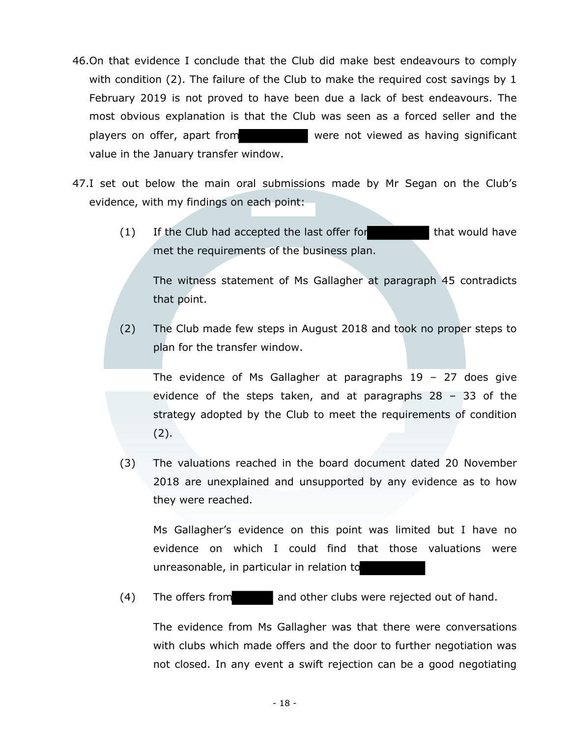- 46.On that evidence I conclude that the Club did make best endeavours to comply with condition (2). The failure of the Club to make the required cost savings by 1 February 2019 is not proved to have been due a lack of best endeavours. The most obvious explanation is that the Club was seen as a forced seller and the players on offer, apart from were not viewed as having significant value in the January transfer window.
- 47.I set out below the main oral submissions made by Mr Segan on the Club's evidence, with my findings on each point:
	- (1) If the Club had accepted the last offer for that would have met the requirements of the business plan.

The witness statement of Ms Gallagher at paragraph 45 contradicts that point.

(2) The Club made few steps in August 2018 and took no proper steps to plan for the transfer window.

The evidence of Ms Gallagher at paragraphs  $19 - 27$  does give evidence of the steps taken, and at paragraphs 28 – 33 of the strategy adopted by the Club to meet the requirements of condition  $(2).$ 

(3) The valuations reached in the board document dated 20 November 2018 are unexplained and unsupported by any evidence as to how they were reached.

Ms Gallagher's evidence on this point was limited but I have no evidence on which I could find that those valuations were unreasonable, in particular in relation to

(4) The offers from and other clubs were rejected out of hand.

The evidence from Ms Gallagher was that there were conversations with clubs which made offers and the door to further negotiation was not closed. In any event a swift rejection can be a good negotiating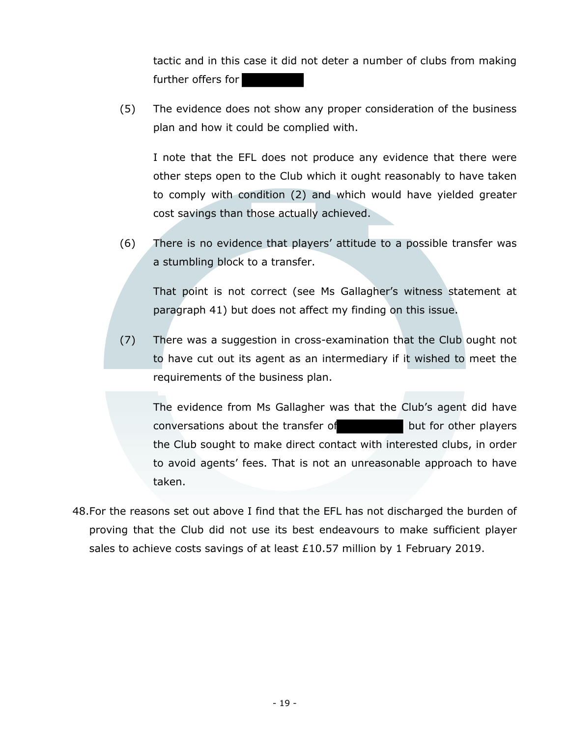tactic and in this case it did not deter a number of clubs from making further offers for

(5) The evidence does not show any proper consideration of the business plan and how it could be complied with.

I note that the EFL does not produce any evidence that there were other steps open to the Club which it ought reasonably to have taken to comply with condition (2) and which would have yielded greater cost savings than those actually achieved.

(6) There is no evidence that players' attitude to a possible transfer was a stumbling block to a transfer.

That point is not correct (see Ms Gallagher's witness statement at paragraph 41) but does not affect my finding on this issue.

(7) There was a suggestion in cross-examination that the Club ought not to have cut out its agent as an intermediary if it wished to meet the requirements of the business plan.

The evidence from Ms Gallagher was that the Club's agent did have conversations about the transfer of but for other players the Club sought to make direct contact with interested clubs, in order to avoid agents' fees. That is not an unreasonable approach to have taken.

48.For the reasons set out above I find that the EFL has not discharged the burden of proving that the Club did not use its best endeavours to make sufficient player sales to achieve costs savings of at least £10.57 million by 1 February 2019.